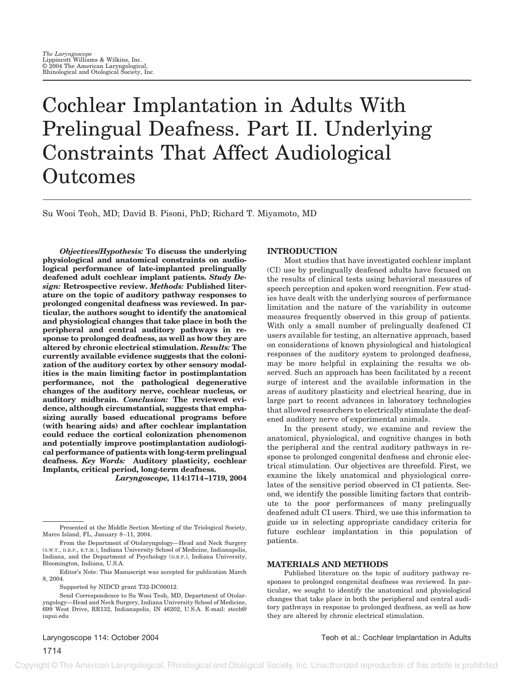# Cochlear Implantation in Adults With Prelingual Deafness. Part II. Underlying Constraints That Affect Audiological **Outcomes**

Su Wooi Teoh, MD; David B. Pisoni, PhD; Richard T. Miyamoto, MD

*Objectives/Hypothesis:* **To discuss the underlying physiological and anatomical constraints on audiological performance of late-implanted prelingually deafened adult cochlear implant patients.** *Study Design:* **Retrospective review.** *Methods:* **Published literature on the topic of auditory pathway responses to prolonged congenital deafness was reviewed. In particular, the authors sought to identify the anatomical and physiological changes that take place in both the peripheral and central auditory pathways in response to prolonged deafness, as well as how they are altered by chronic electrical stimulation.** *Results:* **The currently available evidence suggests that the colonization of the auditory cortex by other sensory modalities is the main limiting factor in postimplantation performance, not the pathological degenerative changes of the auditory nerve, cochlear nucleus, or auditory midbrain.** *Conclusion:* **The reviewed evidence, although circumstantial, suggests that emphasizing aurally based educational programs before (with hearing aids) and after cochlear implantation could reduce the cortical colonization phenomenon and potentially improve postimplantation audiological performance of patients with long-term prelingual deafness.** *Key Words:* **Auditory plasticity, cochlear Implants, critical period, long-term deafness.**

*Laryngoscope,* **114:1714–1719, 2004**

Supported by NIDCD grant T32-DC00012.

### **INTRODUCTION**

Most studies that have investigated cochlear implant (CI) use by prelingually deafened adults have focused on the results of clinical tests using behavioral measures of speech perception and spoken word recognition. Few studies have dealt with the underlying sources of performance limitation and the nature of the variability in outcome measures frequently observed in this group of patients. With only a small number of prelingually deafened CI users available for testing, an alternative approach, based on considerations of known physiological and histological responses of the auditory system to prolonged deafness, may be more helpful in explaining the results we observed. Such an approach has been facilitated by a recent surge of interest and the available information in the areas of auditory plasticity and electrical hearing, due in large part to recent advances in laboratory technologies that allowed researchers to electrically stimulate the deafened auditory nerve of experimental animals.

In the present study, we examine and review the anatomical, physiological, and cognitive changes in both the peripheral and the central auditory pathways in response to prolonged congenital deafness and chronic electrical stimulation. Our objectives are threefold. First, we examine the likely anatomical and physiological correlates of the sensitive period observed in CI patients. Second, we identify the possible limiting factors that contribute to the poor performances of many prelingually deafened adult CI users. Third, we use this information to guide us in selecting appropriate candidacy criteria for future cochlear implantation in this population of patients.

# **MATERIALS AND METHODS**

Published literature on the topic of auditory pathway responses to prolonged congenital deafness was reviewed. In particular, we sought to identify the anatomical and physiological changes that take place in both the peripheral and central auditory pathways in response to prolonged deafness, as well as how they are altered by chronic electrical stimulation.

Presented at the Middle Section Meeting of the Triological Society, Marco Island, FL, January 8–11, 2004.

From the Department of Otolaryngology—Head and Neck Surgery (S.W.T., D.B.P., R.T.M.), Indiana University School of Medicine, Indianapolis, Indiana, and the Department of Psychology (D.B.P.), Indiana University, Bloomington, Indiana, U.S.A.

Editor's Note: This Manuscript was accepted for publication March 8, 2004.

Send Correspondence to Su Wooi Teoh, MD, Department of Otolaryngology—Head and Neck Surgery, Indiana University School of Medicine, 699 West Drive, RR132, Indianapolis, IN 46202, U.S.A. E-mail: stech@ iupui.edu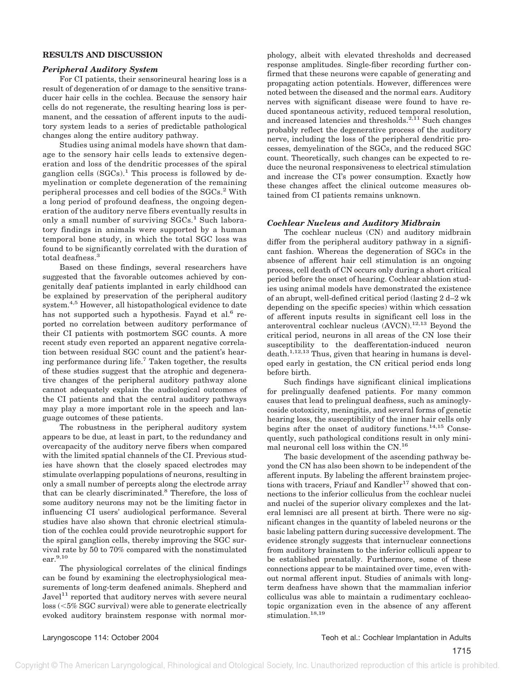# **RESULTS AND DISCUSSION**

## *Peripheral Auditory System*

For CI patients, their sensorineural hearing loss is a result of degeneration of or damage to the sensitive transducer hair cells in the cochlea. Because the sensory hair cells do not regenerate, the resulting hearing loss is permanent, and the cessation of afferent inputs to the auditory system leads to a series of predictable pathological changes along the entire auditory pathway.

Studies using animal models have shown that damage to the sensory hair cells leads to extensive degeneration and loss of the dendritic processes of the spiral ganglion cells  $(SGCs)$ .<sup>1</sup> This process is followed by demyelination or complete degeneration of the remaining peripheral processes and cell bodies of the SGCs.<sup>2</sup> With a long period of profound deafness, the ongoing degeneration of the auditory nerve fibers eventually results in only a small number of surviving  $SGCs$ .<sup>1</sup> Such laboratory findings in animals were supported by a human temporal bone study, in which the total SGC loss was found to be significantly correlated with the duration of total deafness.<sup>3</sup>

Based on these findings, several researchers have suggested that the favorable outcomes achieved by congenitally deaf patients implanted in early childhood can be explained by preservation of the peripheral auditory system.4,5 However, all histopathological evidence to date has not supported such a hypothesis. Fayad et al.<sup>6</sup> reported no correlation between auditory performance of their CI patients with postmortem SGC counts. A more recent study even reported an apparent negative correlation between residual SGC count and the patient's hearing performance during life.7 Taken together, the results of these studies suggest that the atrophic and degenerative changes of the peripheral auditory pathway alone cannot adequately explain the audiological outcomes of the CI patients and that the central auditory pathways may play a more important role in the speech and language outcomes of these patients.

The robustness in the peripheral auditory system appears to be due, at least in part, to the redundancy and overcapacity of the auditory nerve fibers when compared with the limited spatial channels of the CI. Previous studies have shown that the closely spaced electrodes may stimulate overlapping populations of neurons, resulting in only a small number of percepts along the electrode array that can be clearly discriminated.8 Therefore, the loss of some auditory neurons may not be the limiting factor in influencing CI users' audiological performance. Several studies have also shown that chronic electrical stimulation of the cochlea could provide neurotrophic support for the spiral ganglion cells, thereby improving the SGC survival rate by 50 to 70% compared with the nonstimulated ear.9,10

The physiological correlates of the clinical findings can be found by examining the electrophysiological measurements of long-term deafened animals. Shepherd and  $Java<sup>11</sup>$  reported that auditory nerves with severe neural loss (5% SGC survival) were able to generate electrically evoked auditory brainstem response with normal mor-

phology, albeit with elevated thresholds and decreased response amplitudes. Single-fiber recording further confirmed that these neurons were capable of generating and propagating action potentials. However, differences were noted between the diseased and the normal ears. Auditory nerves with significant disease were found to have reduced spontaneous activity, reduced temporal resolution, and increased latencies and thresholds.2,11 Such changes probably reflect the degenerative process of the auditory nerve, including the loss of the peripheral dendritic processes, demyelination of the SGCs, and the reduced SGC count. Theoretically, such changes can be expected to reduce the neuronal responsiveness to electrical stimulation and increase the CI's power consumption. Exactly how these changes affect the clinical outcome measures obtained from CI patients remains unknown.

# *Cochlear Nucleus and Auditory Midbrain*

The cochlear nucleus (CN) and auditory midbrain differ from the peripheral auditory pathway in a significant fashion. Whereas the degeneration of SGCs in the absence of afferent hair cell stimulation is an ongoing process, cell death of CN occurs only during a short critical period before the onset of hearing. Cochlear ablation studies using animal models have demonstrated the existence of an abrupt, well-defined critical period (lasting 2 d–2 wk depending on the specific species) within which cessation of afferent inputs results in significant cell loss in the anteroventral cochlear nucleus (AVCN).12,13 Beyond the critical period, neurons in all areas of the CN lose their susceptibility to the deafferentation-induced neuron  $death.<sup>1,12,13</sup>$  Thus, given that hearing in humans is developed early in gestation, the CN critical period ends long before birth.

Such findings have significant clinical implications for prelingually deafened patients. For many common causes that lead to prelingual deafness, such as aminoglycoside ototoxicity, meningitis, and several forms of genetic hearing loss, the susceptibility of the inner hair cells only begins after the onset of auditory functions.14,15 Consequently, such pathological conditions result in only minimal neuronal cell loss within the CN.16

The basic development of the ascending pathway beyond the CN has also been shown to be independent of the afferent inputs. By labeling the afferent brainstem projections with tracers, Friauf and Kandler<sup>17</sup> showed that connections to the inferior colliculus from the cochlear nuclei and nuclei of the superior olivary complexes and the lateral lemnisci are all present at birth. There were no significant changes in the quantity of labeled neurons or the basic labeling pattern during successive development. The evidence strongly suggests that internuclear connections from auditory brainstem to the inferior colliculi appear to be established prenatally. Furthermore, some of these connections appear to be maintained over time, even without normal afferent input. Studies of animals with longterm deafness have shown that the mammalian inferior colliculus was able to maintain a rudimentary cochleaotopic organization even in the absence of any afferent stimulation.<sup>18,19</sup>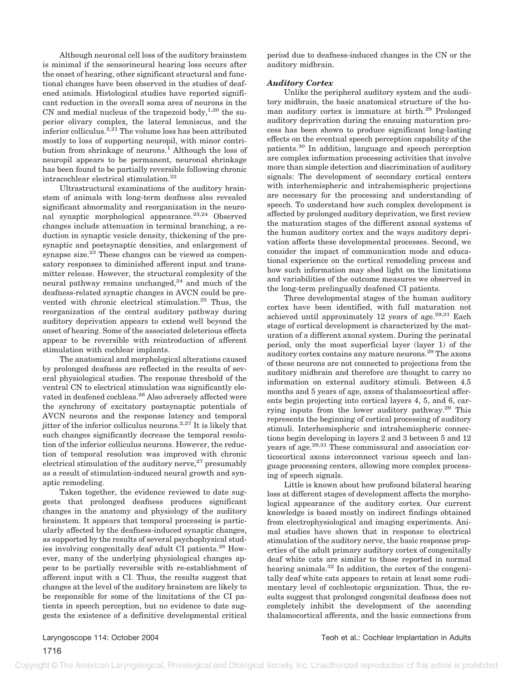Although neuronal cell loss of the auditory brainstem is minimal if the sensorineural hearing loss occurs after the onset of hearing, other significant structural and functional changes have been observed in the studies of deafened animals. Histological studies have reported significant reduction in the overall soma area of neurons in the CN and medial nucleus of the trapezoid body,<sup>1,20</sup> the superior olivary complex, the lateral lemniscus, and the inferior colliculus.2,21 The volume loss has been attributed mostly to loss of supporting neuropil, with minor contribution from shrinkage of neurons.<sup>1</sup> Although the loss of neuropil appears to be permanent, neuronal shrinkage has been found to be partially reversible following chronic intracochlear electrical stimulation.22

Ultrastructural examinations of the auditory brainstem of animals with long-term deafness also revealed significant abnormality and reorganization in the neuronal synaptic morphological appearance.<sup>23,24</sup> Observed changes include attenuation in terminal branching, a reduction in synaptic vesicle density, thickening of the presynaptic and postsynaptic densities, and enlargement of synapse size.<sup>23</sup> These changes can be viewed as compensatory responses to diminished afferent input and transmitter release. However, the structural complexity of the neural pathway remains unchanged, $24$  and much of the deafness-related synaptic changes in AVCN could be prevented with chronic electrical stimulation.25 Thus, the reorganization of the central auditory pathway during auditory deprivation appears to extend well beyond the onset of hearing. Some of the associated deleterious effects appear to be reversible with reintroduction of afferent stimulation with cochlear implants.

The anatomical and morphological alterations caused by prolonged deafness are reflected in the results of several physiological studies. The response threshold of the ventral CN to electrical stimulation was significantly elevated in deafened cochleas.<sup>26</sup> Also adversely affected were the synchrony of excitatory postsynaptic potentials of AVCN neurons and the response latency and temporal jitter of the inferior colliculus neurons. $2,27$  It is likely that such changes significantly decrease the temporal resolution of the inferior colliculus neurons. However, the reduction of temporal resolution was improved with chronic electrical stimulation of the auditory nerve, $27$  presumably as a result of stimulation-induced neural growth and synaptic remodeling.

Taken together, the evidence reviewed to date suggests that prolonged deafness produces significant changes in the anatomy and physiology of the auditory brainstem. It appears that temporal processing is particularly affected by the deafness-induced synaptic changes, as supported by the results of several psychophysical studies involving congenitally deaf adult CI patients.<sup>28</sup> However, many of the underlying physiological changes appear to be partially reversible with re-establishment of afferent input with a CI. Thus, the results suggest that changes at the level of the auditory brainstem are likely to be responsible for some of the limitations of the CI patients in speech perception, but no evidence to date suggests the existence of a definitive developmental critical

period due to deafness-induced changes in the CN or the auditory midbrain.

# *Auditory Cortex*

Unlike the peripheral auditory system and the auditory midbrain, the basic anatomical structure of the human auditory cortex is immature at birth.29 Prolonged auditory deprivation during the ensuing maturation process has been shown to produce significant long-lasting effects on the eventual speech perception capability of the patients.30 In addition, language and speech perception are complex information processing activities that involve more than simple detection and discrimination of auditory signals: The development of secondary cortical centers with interhemispheric and intrahemispheric projections are necessary for the processing and understanding of speech. To understand how such complex development is affected by prolonged auditory deprivation, we first review the maturation stages of the different axonal systems of the human auditory cortex and the ways auditory deprivation affects these developmental processes. Second, we consider the impact of communication mode and educational experience on the cortical remodeling process and how such information may shed light on the limitations and variabilities of the outcome measures we observed in the long-term prelingually deafened CI patients.

Three developmental stages of the human auditory cortex have been identified, with full maturation not achieved until approximately 12 years of age.<sup>29,31</sup> Each stage of cortical development is characterized by the maturation of a different axonal system. During the perinatal period, only the most superficial layer (layer 1) of the auditory cortex contains any mature neurons.29 The axons of these neurons are not connected to projections from the auditory midbrain and therefore are thought to carry no information on external auditory stimuli. Between 4.5 months and 5 years of age, axons of thalamocortical afferents begin projecting into cortical layers 4, 5, and 6, carrying inputs from the lower auditory pathway.29 This represents the beginning of cortical processing of auditory stimuli. Interhemispheric and intrahemispheric connections begin developing in layers 2 and 3 between 5 and 12 years of age.29,31 These commissural and association corticocortical axons interconnect various speech and language processing centers, allowing more complex processing of speech signals.

Little is known about how profound bilateral hearing loss at different stages of development affects the morphological appearance of the auditory cortex. Our current knowledge is based mostly on indirect findings obtained from electrophysiological and imaging experiments. Animal studies have shown that in response to electrical stimulation of the auditory nerve, the basic response properties of the adult primary auditory cortex of congenitally deaf white cats are similar to those reported in normal hearing animals.<sup>32</sup> In addition, the cortex of the congenitally deaf white cats appears to retain at least some rudimentary level of cochleotopic organization. Thus, the results suggest that prolonged congenital deafness does not completely inhibit the development of the ascending thalamocortical afferents, and the basic connections from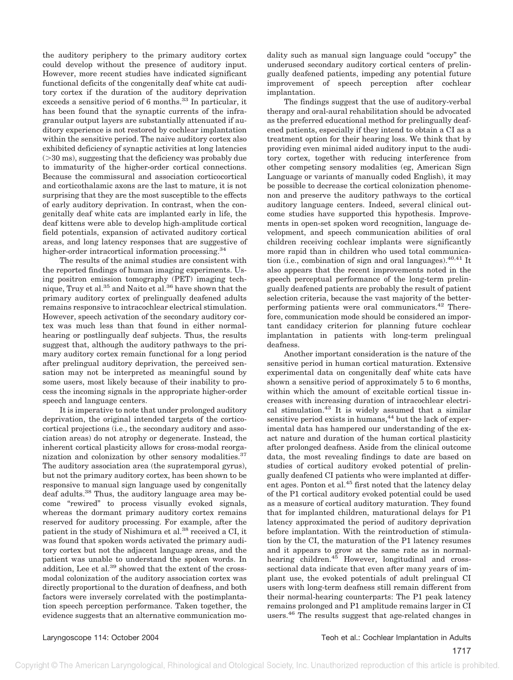the auditory periphery to the primary auditory cortex could develop without the presence of auditory input. However, more recent studies have indicated significant functional deficits of the congenitally deaf white cat auditory cortex if the duration of the auditory deprivation exceeds a sensitive period of 6 months.<sup>33</sup> In particular, it has been found that the synaptic currents of the infragranular output layers are substantially attenuated if auditory experience is not restored by cochlear implantation within the sensitive period. The naive auditory cortex also exhibited deficiency of synaptic activities at long latencies  $(>30 \text{ ms})$ , suggesting that the deficiency was probably due to immaturity of the higher-order cortical connections. Because the commissural and association corticocortical and corticothalamic axons are the last to mature, it is not surprising that they are the most susceptible to the effects of early auditory deprivation. In contrast, when the congenitally deaf white cats are implanted early in life, the deaf kittens were able to develop high-amplitude cortical field potentials, expansion of activated auditory cortical areas, and long latency responses that are suggestive of higher-order intracortical information processing.<sup>34</sup>

The results of the animal studies are consistent with the reported findings of human imaging experiments. Using positron emission tomography (PET) imaging technique, Truy et al.35 and Naito et al.36 have shown that the primary auditory cortex of prelingually deafened adults remains responsive to intracochlear electrical stimulation. However, speech activation of the secondary auditory cortex was much less than that found in either normalhearing or postlingually deaf subjects. Thus, the results suggest that, although the auditory pathways to the primary auditory cortex remain functional for a long period after prelingual auditory deprivation, the perceived sensation may not be interpreted as meaningful sound by some users, most likely because of their inability to process the incoming signals in the appropriate higher-order speech and language centers.

It is imperative to note that under prolonged auditory deprivation, the original intended targets of the corticocortical projections (i.e., the secondary auditory and association areas) do not atrophy or degenerate. Instead, the inherent cortical plasticity allows for cross-modal reorganization and colonization by other sensory modalities.<sup>37</sup> The auditory association area (the supratemporal gyrus), but not the primary auditory cortex, has been shown to be responsive to manual sign language used by congenitally deaf adults.38 Thus, the auditory language area may become "rewired" to process visually evoked signals, whereas the dormant primary auditory cortex remains reserved for auditory processing. For example, after the patient in the study of Nishimura et al.<sup>38</sup> received a CI, it was found that spoken words activated the primary auditory cortex but not the adjacent language areas, and the patient was unable to understand the spoken words. In addition, Lee et al.<sup>39</sup> showed that the extent of the crossmodal colonization of the auditory association cortex was directly proportional to the duration of deafness, and both factors were inversely correlated with the postimplantation speech perception performance. Taken together, the evidence suggests that an alternative communication mo-

dality such as manual sign language could "occupy" the underused secondary auditory cortical centers of prelingually deafened patients, impeding any potential future improvement of speech perception after cochlear implantation.

The findings suggest that the use of auditory-verbal therapy and oral-aural rehabilitation should be advocated as the preferred educational method for prelingually deafened patients, especially if they intend to obtain a CI as a treatment option for their hearing loss. We think that by providing even minimal aided auditory input to the auditory cortex, together with reducing interference from other competing sensory modalities (eg, American Sign Language or variants of manually coded English), it may be possible to decrease the cortical colonization phenomenon and preserve the auditory pathways to the cortical auditory language centers. Indeed, several clinical outcome studies have supported this hypothesis. Improvements in open-set spoken word recognition, language development, and speech communication abilities of oral children receiving cochlear implants were significantly more rapid than in children who used total communication (i.e., combination of sign and oral languages).  $40,41$  It also appears that the recent improvements noted in the speech perceptual performance of the long-term prelingually deafened patients are probably the result of patient selection criteria, because the vast majority of the betterperforming patients were oral communicators.42 Therefore, communication mode should be considered an important candidacy criterion for planning future cochlear implantation in patients with long-term prelingual deafness.

Another important consideration is the nature of the sensitive period in human cortical maturation. Extensive experimental data on congenitally deaf white cats have shown a sensitive period of approximately 5 to 6 months, within which the amount of excitable cortical tissue increases with increasing duration of intracochlear electrical stimulation.43 It is widely assumed that a similar sensitive period exists in humans,<sup>44</sup> but the lack of experimental data has hampered our understanding of the exact nature and duration of the human cortical plasticity after prolonged deafness. Aside from the clinical outcome data, the most revealing findings to date are based on studies of cortical auditory evoked potential of prelingually deafened CI patients who were implanted at different ages. Ponton et al.45 first noted that the latency delay of the P1 cortical auditory evoked potential could be used as a measure of cortical auditory maturation. They found that for implanted children, maturational delays for P1 latency approximated the period of auditory deprivation before implantation. With the reintroduction of stimulation by the CI, the maturation of the P1 latency resumes and it appears to grow at the same rate as in normalhearing children.<sup>45</sup> However, longitudinal and crosssectional data indicate that even after many years of implant use, the evoked potentials of adult prelingual CI users with long-term deafness still remain different from their normal-hearing counterparts: The P1 peak latency remains prolonged and P1 amplitude remains larger in CI users.46 The results suggest that age-related changes in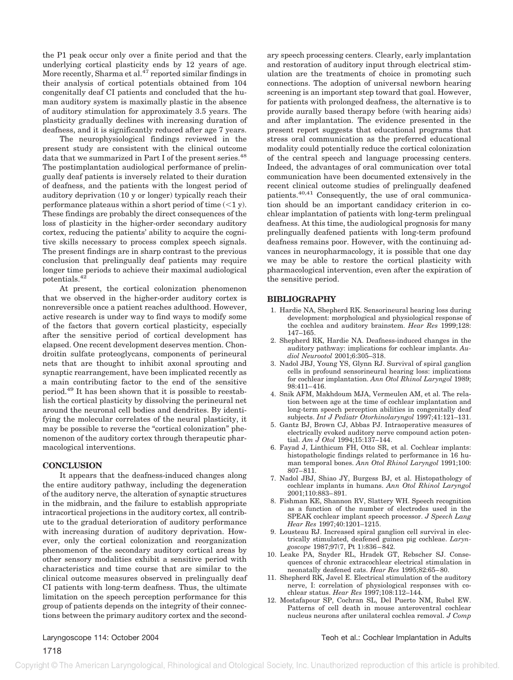the P1 peak occur only over a finite period and that the underlying cortical plasticity ends by 12 years of age. More recently, Sharma et al. $47$  reported similar findings in their analysis of cortical potentials obtained from 104 congenitally deaf CI patients and concluded that the human auditory system is maximally plastic in the absence of auditory stimulation for approximately 3.5 years. The plasticity gradually declines with increasing duration of deafness, and it is significantly reduced after age 7 years.

The neurophysiological findings reviewed in the present study are consistent with the clinical outcome data that we summarized in Part I of the present series.<sup>48</sup> The postimplantation audiological performance of prelingually deaf patients is inversely related to their duration of deafness, and the patients with the longest period of auditory deprivation (10 y or longer) typically reach their performance plateaus within a short period of time  $(< 1 y)$ . These findings are probably the direct consequences of the loss of plasticity in the higher-order secondary auditory cortex, reducing the patients' ability to acquire the cognitive skills necessary to process complex speech signals. The present findings are in sharp contrast to the previous conclusion that prelingually deaf patients may require longer time periods to achieve their maximal audiological potentials.42

At present, the cortical colonization phenomenon that we observed in the higher-order auditory cortex is nonreversible once a patient reaches adulthood. However, active research is under way to find ways to modify some of the factors that govern cortical plasticity, especially after the sensitive period of cortical development has elapsed. One recent development deserves mention. Chondroitin sulfate proteoglycans, components of perineural nets that are thought to inhibit axonal sprouting and synaptic rearrangement, have been implicated recently as a main contributing factor to the end of the sensitive period.49 It has been shown that it is possible to reestablish the cortical plasticity by dissolving the perineural net around the neuronal cell bodies and dendrites. By identifying the molecular correlates of the neural plasticity, it may be possible to reverse the "cortical colonization" phenomenon of the auditory cortex through therapeutic pharmacological interventions.

# **CONCLUSION**

It appears that the deafness-induced changes along the entire auditory pathway, including the degeneration of the auditory nerve, the alteration of synaptic structures in the midbrain, and the failure to establish appropriate intracortical projections in the auditory cortex, all contribute to the gradual deterioration of auditory performance with increasing duration of auditory deprivation. However, only the cortical colonization and reorganization phenomenon of the secondary auditory cortical areas by other sensory modalities exhibit a sensitive period with characteristics and time course that are similar to the clinical outcome measures observed in prelingually deaf CI patients with long-term deafness. Thus, the ultimate limitation on the speech perception performance for this group of patients depends on the integrity of their connections between the primary auditory cortex and the second-

ary speech processing centers. Clearly, early implantation and restoration of auditory input through electrical stimulation are the treatments of choice in promoting such connections. The adoption of universal newborn hearing screening is an important step toward that goal. However, for patients with prolonged deafness, the alternative is to provide aurally based therapy before (with hearing aids) and after implantation. The evidence presented in the present report suggests that educational programs that stress oral communication as the preferred educational modality could potentially reduce the cortical colonization of the central speech and language processing centers. Indeed, the advantages of oral communication over total communication have been documented extensively in the recent clinical outcome studies of prelingually deafened patients.40,41 Consequently, the use of oral communication should be an important candidacy criterion in cochlear implantation of patients with long-term prelingual deafness. At this time, the audiological prognosis for many prelingually deafened patients with long-term profound deafness remains poor. However, with the continuing advances in neuropharmacology, it is possible that one day we may be able to restore the cortical plasticity with pharmacological intervention, even after the expiration of the sensitive period.

# **BIBLIOGRAPHY**

- 1. Hardie NA, Shepherd RK. Sensorineural hearing loss during development: morphological and physiological response of the cochlea and auditory brainstem. *Hear Res* 1999;128: 147–165.
- 2. Shepherd RK, Hardie NA. Deafness-induced changes in the auditory pathway: implications for cochlear implants. *Audiol Neurootol* 2001;6:305–318.
- 3. Nadol JBJ, Young YS, Glynn RJ. Survival of spiral ganglion cells in profound sensorineural hearing loss: implications for cochlear implantation. *Ann Otol Rhinol Laryngol* 1989; 98:411–416.
- 4. Snik AFM, Makhdoum MJA, Vermeulen AM, et al. The relation between age at the time of cochlear implantation and long-term speech perception abilities in congenitally deaf subjects. *Int J Pediatr Otorhinolaryngol* 1997;41:121–131.
- 5. Gantz BJ, Brown CJ, Abbas PJ. Intraoperative measures of electrically evoked auditory nerve compound action potential. *Am J Otol* 1994;15:137–144.
- 6. Fayad J, Linthicum FH, Otto SR, et al. Cochlear implants: histopathologic findings related to performance in 16 human temporal bones. *Ann Otol Rhinol Laryngol* 1991;100: 807–811.
- 7. Nadol JBJ, Shiao JY, Burgess BJ, et al. Histopathology of cochlear implants in humans. *Ann Otol Rhinol Laryngol* 2001;110:883–891.
- 8. Fishman KE, Shannon RV, Slattery WH. Speech recognition as a function of the number of electrodes used in the SPEAK cochlear implant speech processor. *J Speech Lang Hear Res* 1997;40:1201–1215.
- 9. Lousteau RJ. Increased spiral ganglion cell survival in electrically stimulated, deafened guinea pig cochleae. *Laryngoscope* 1987;97(7, Pt 1):836–842.
- 10. Leake PA, Snyder RL, Hradek GT, Rebscher SJ. Consequences of chronic extracochlear electrical stimulation in neonatally deafened cats. *Hear Res* 1995;82:65–80.
- 11. Shepherd RK, Javel E. Electrical stimulation of the auditory nerve, I: correlation of physiological responses with cochlear status. *Hear Res* 1997;108:112–144.
- 12. Mostafapour SP, Cochran SL, Del Puerto NM, Rubel EW. Patterns of cell death in mouse anteroventral cochlear nucleus neurons after unilateral cochlea removal. *J Comp*

Laryngoscope 114: October 2004 Teoh et al.: Cochlear Implantation in Adults